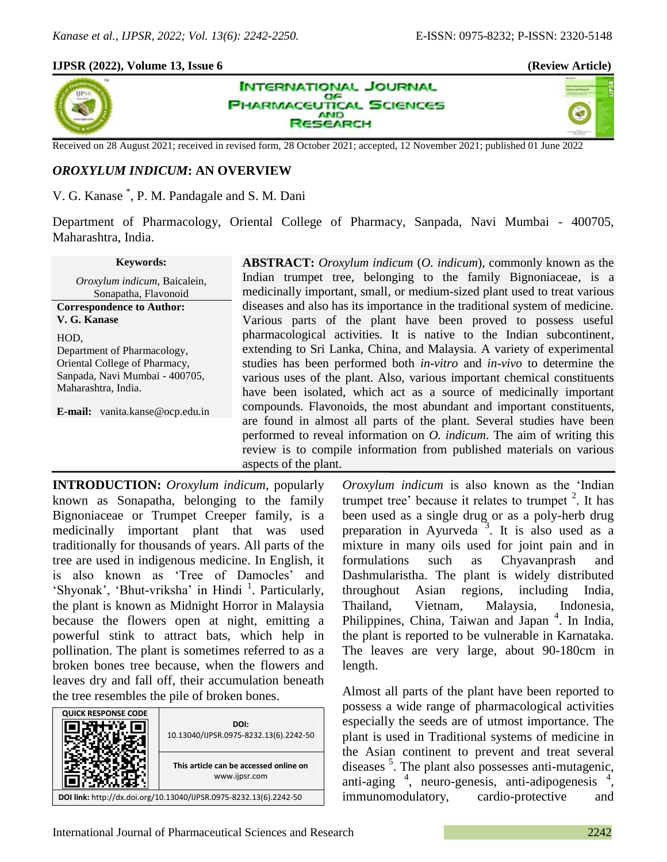### **IJPSR (2022), Volume 13, Issue 6 (Review Article)**



**INTERNATIONAL JOURNAL** OF **HARMACEUTICAL SCIENCES AND SEARCH** 



Received on 28 August 2021; received in revised form, 28 October 2021; accepted, 12 November 2021; published 01 June 2022

# *OROXYLUM INDICUM***: AN OVERVIEW**

V. G. Kanase \* , P. M. Pandagale and S. M. Dani

Department of Pharmacology, Oriental College of Pharmacy, Sanpada, Navi Mumbai - 400705, Maharashtra, India.

#### **Keywords:**

*Oroxylum indicum*, Baicalein, Sonapatha, Flavonoid **Correspondence to Author: V. G. Kanase** HOD,

Department of Pharmacology, Oriental College of Pharmacy, Sanpada, Navi Mumbai - 400705, Maharashtra, India.

**E-mail:** vanita.kanse@ocp.edu.in

**ABSTRACT:** *Oroxylum indicum* (*O. indicum*), commonly known as the Indian trumpet tree, belonging to the family Bignoniaceae, is a medicinally important, small, or medium-sized plant used to treat various diseases and also has its importance in the traditional system of medicine. Various parts of the plant have been proved to possess useful pharmacological activities. It is native to the Indian subcontinent, extending to Sri Lanka, China, and Malaysia. A variety of experimental studies has been performed both *in-vitro* and *in-vivo* to determine the various uses of the plant. Also, various important chemical constituents have been isolated, which act as a source of medicinally important compounds. Flavonoids, the most abundant and important constituents, are found in almost all parts of the plant. Several studies have been performed to reveal information on *O. indicum*. The aim of writing this review is to compile information from published materials on various aspects of the plant.

**INTRODUCTION:** *Oroxylum indicum*, popularly known as Sonapatha, belonging to the family Bignoniaceae or Trumpet Creeper family, is a medicinally important plant that was used traditionally for thousands of years. All parts of the tree are used in indigenous medicine. In English, it is also known as 'Tree of Damocles' and 'Shyonak', 'Bhut-vriksha' in Hindi<sup>1</sup>. Particularly, the plant is known as Midnight Horror in Malaysia because the flowers open at night, emitting a powerful stink to attract bats, which help in pollination. The plant is sometimes referred to as a broken bones tree because, when the flowers and leaves dry and fall off, their accumulation beneath the tree resembles the pile of broken bones.

| <b>QUICK RESPONSE CODE</b>                                         |                                                         |
|--------------------------------------------------------------------|---------------------------------------------------------|
|                                                                    | DOI:<br>10.13040/IJPSR.0975-8232.13(6).2242-50          |
|                                                                    | This article can be accessed online on<br>www.ijpsr.com |
| DOI link: http://dx.doi.org/10.13040/IJPSR.0975-8232.13(6).2242-50 |                                                         |

*Oroxylum indicum* is also known as the 'Indian trumpet tree' because it relates to trumpet  $2$ . It has been used as a single drug or as a poly-herb drug preparation in Ayurveda<sup>3</sup>. It is also used as a mixture in many oils used for joint pain and in formulations such as Chyavanprash and Dashmularistha. The plant is widely distributed throughout Asian regions, including India, Thailand, Vietnam, Malaysia, Indonesia, Philippines, China, Taiwan and Japan<sup>4</sup>. In India, the plant is reported to be vulnerable in Karnataka. The leaves are very large, about 90-180cm in length.

Almost all parts of the plant have been reported to possess a wide range of pharmacological activities especially the seeds are of utmost importance. The plant is used in Traditional systems of medicine in the Asian continent to prevent and treat several diseases<sup>5</sup>. The plant also possesses anti-mutagenic, anti-aging <sup>4</sup>, neuro-genesis, anti-adipogenesis <sup>4</sup>, immunomodulatory, cardio-protective and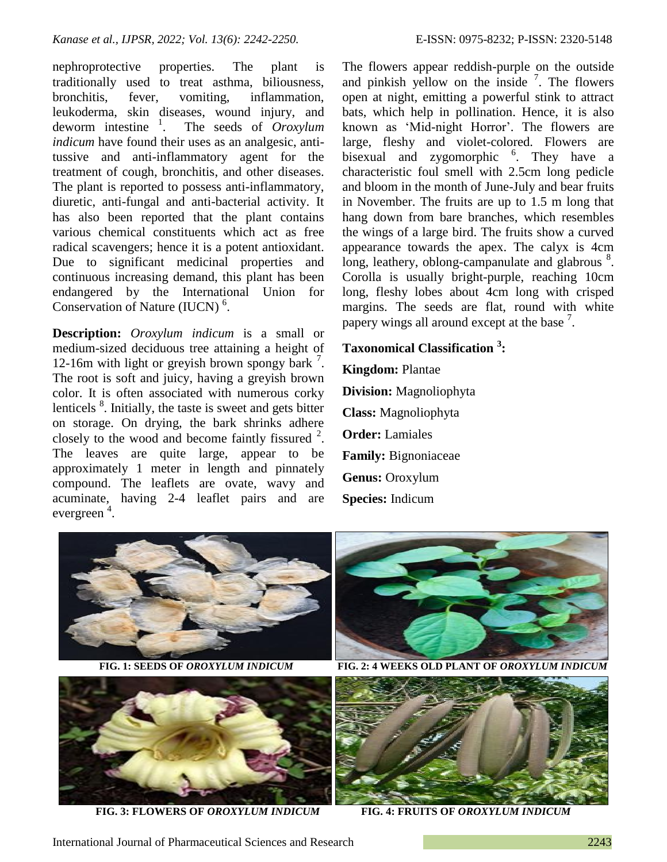nephroprotective properties. The plant is traditionally used to treat asthma, biliousness, bronchitis, fever, vomiting, inflammation, leukoderma, skin diseases, wound injury, and deworm intestine  $\frac{1}{1}$ . . The seeds of *Oroxylum indicum* have found their uses as an analgesic, antitussive and anti-inflammatory agent for the treatment of cough, bronchitis, and other diseases. The plant is reported to possess anti-inflammatory, diuretic, anti-fungal and anti-bacterial activity. It has also been reported that the plant contains various chemical constituents which act as free radical scavengers; hence it is a potent antioxidant. Due to significant medicinal properties and continuous increasing demand, this plant has been endangered by the International Union for Conservation of Nature (IUCN)<sup>6</sup>.

**Description:** *Oroxylum indicum* is a small or medium-sized deciduous tree attaining a height of 12-16m with light or greyish brown spongy bark<sup>7</sup>. The root is soft and juicy, having a greyish brown color. It is often associated with numerous corky lenticels <sup>8</sup>. Initially, the taste is sweet and gets bitter on storage. On drying, the bark shrinks adhere closely to the wood and become faintly fissured  $2$ . The leaves are quite large, appear to be approximately 1 meter in length and pinnately compound. The leaflets are ovate, wavy and acuminate, having 2-4 leaflet pairs and are evergreen<sup>4</sup>.

The flowers appear reddish-purple on the outside and pinkish yellow on the inside  $\frac{7}{1}$ . The flowers open at night, emitting a powerful stink to attract bats, which help in pollination. Hence, it is also known as 'Mid-night Horror'. The flowers are large, fleshy and violet-colored. Flowers are bisexual and zygomorphic <sup>6</sup>. They have a characteristic foul smell with 2.5cm long pedicle and bloom in the month of June-July and bear fruits in November. The fruits are up to 1.5 m long that hang down from bare branches, which resembles the wings of a large bird. The fruits show a curved appearance towards the apex. The calyx is 4cm long, leathery, oblong-campanulate and glabrous <sup>8</sup>. Corolla is usually bright-purple, reaching 10cm long, fleshy lobes about 4cm long with crisped margins. The seeds are flat, round with white papery wings all around except at the base  $<sup>7</sup>$ .</sup>

## **Taxonomical Classification <sup>3</sup> :**

**Kingdom:** Plantae **Division:** Magnoliophyta **Class:** Magnoliophyta **Order:** Lamiales **Family:** Bignoniaceae **Genus:** Oroxylum **Species:** Indicum





**FIG. 3: FLOWERS OF** *OROXYLUM INDICUM* **FIG. 4: FRUITS OF** *OROXYLUM INDICUM*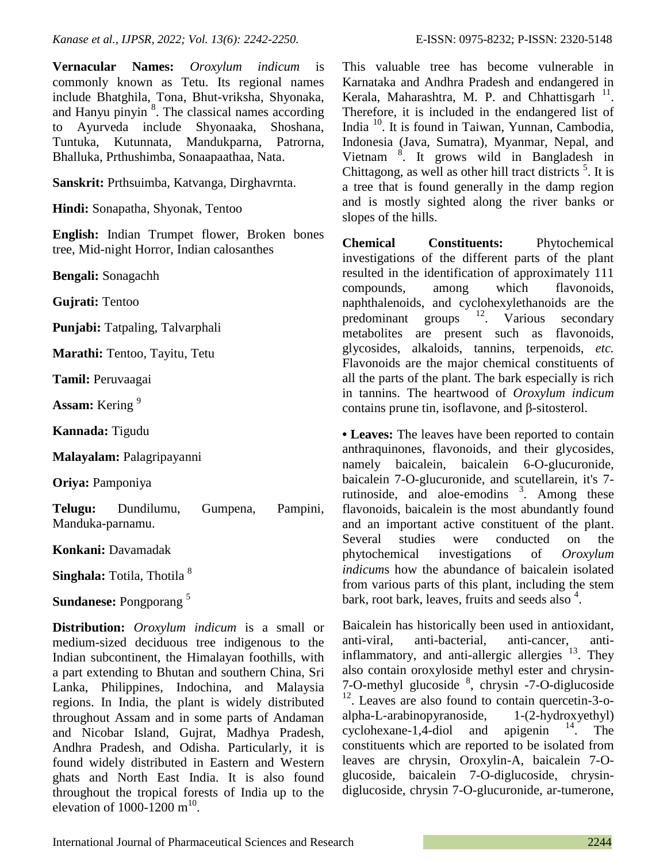**Vernacular Names:** *Oroxylum indicum* is commonly known as Tetu. Its regional names include Bhatghila, Tona, Bhut-vriksha, Shyonaka, and Hanyu pinyin  $8$ . The classical names according to Ayurveda include Shyonaaka, Shoshana, Tuntuka, Kutunnata, Mandukparna, Patrorna, Bhalluka, Prthushimba, Sonaapaathaa, Nata.

**Sanskrit:** Prthsuimba, Katvanga, Dirghavrnta.

**Hindi:** Sonapatha, Shyonak, Tentoo

**English:** Indian Trumpet flower, Broken bones tree, Mid-night Horror, Indian calosanthes

**Bengali:** Sonagachh

**Gujrati:** Tentoo

**Punjabi:** Tatpaling, Talvarphali

**Marathi:** Tentoo, Tayitu, Tetu

**Tamil:** Peruvaagai

**Assam:** Kering <sup>9</sup>

**Kannada:** Tigudu

**Malayalam:** Palagripayanni

**Oriya:** Pamponiya

**Telugu:** Dundilumu, Gumpena, Pampini, Manduka-parnamu.

**Konkani:** Davamadak

**Singhala:** Totila, Thotila<sup>8</sup>

**Sundanese:** Pongporang <sup>5</sup>

**Distribution:** *Oroxylum indicum* is a small or medium-sized deciduous tree indigenous to the Indian subcontinent, the Himalayan foothills, with a part extending to Bhutan and southern China, Sri Lanka, Philippines, Indochina, and Malaysia regions. In India, the plant is widely distributed throughout Assam and in some parts of Andaman and Nicobar Island, Gujrat, Madhya Pradesh, Andhra Pradesh, and Odisha. Particularly, it is found widely distributed in Eastern and Western ghats and North East India. It is also found throughout the tropical forests of India up to the elevation of  $1000-1200$  m<sup>10</sup>.

This valuable tree has become vulnerable in Karnataka and Andhra Pradesh and endangered in Kerala, Maharashtra, M. P. and Chhattisgarh<sup>11</sup>. Therefore, it is included in the endangered list of India <sup>10</sup>. It is found in Taiwan, Yunnan, Cambodia, Indonesia (Java, Sumatra), Myanmar, Nepal, and Vietnam<sup>8</sup>. It grows wild in Bangladesh in Chittagong, as well as other hill tract districts  $5$ . It is a tree that is found generally in the damp region and is mostly sighted along the river banks or slopes of the hills.

**Chemical Constituents:** Phytochemical investigations of the different parts of the plant resulted in the identification of approximately 111 compounds, among which flavonoids, naphthalenoids, and cyclohexylethanoids are the predominant groups <sup>12</sup>. Various secondary metabolites are present such as flavonoids, glycosides, alkaloids, tannins, terpenoids, *etc.* Flavonoids are the major chemical constituents of all the parts of the plant. The bark especially is rich in tannins. The heartwood of *Oroxylum indicum* contains prune tin, isoflavone, and β-sitosterol.

**• Leaves:** The leaves have been reported to contain anthraquinones, flavonoids, and their glycosides, namely baicalein, baicalein 6-O-glucuronide, baicalein 7-O-glucuronide, and scutellarein, it's 7 rutinoside, and aloe-emodins  $3$ . Among these flavonoids, baicalein is the most abundantly found and an important active constituent of the plant. Several studies were conducted on the phytochemical investigations of *Oroxylum indicum*s how the abundance of baicalein isolated from various parts of this plant, including the stem bark, root bark, leaves, fruits and seeds also <sup>4</sup>.

Baicalein has historically been used in antioxidant, anti-viral, anti-bacterial, anti-cancer, antiinflammatory, and anti-allergic allergies  $13$ . They also contain oroxyloside methyl ester and chrysin-7-O-methyl glucoside <sup>8</sup>, chrysin -7-O-diglucoside  $12$ . Leaves are also found to contain quercetin-3-oalpha-L-arabinopyranoside, 1-(2-hydroxyethyl) cyclohexane-1,4-diol and apigenin  $14$ . The constituents which are reported to be isolated from leaves are chrysin, Oroxylin-A, baicalein 7-Oglucoside, baicalein 7-O-diglucoside, chrysindiglucoside, chrysin 7-O-glucuronide, ar-tumerone,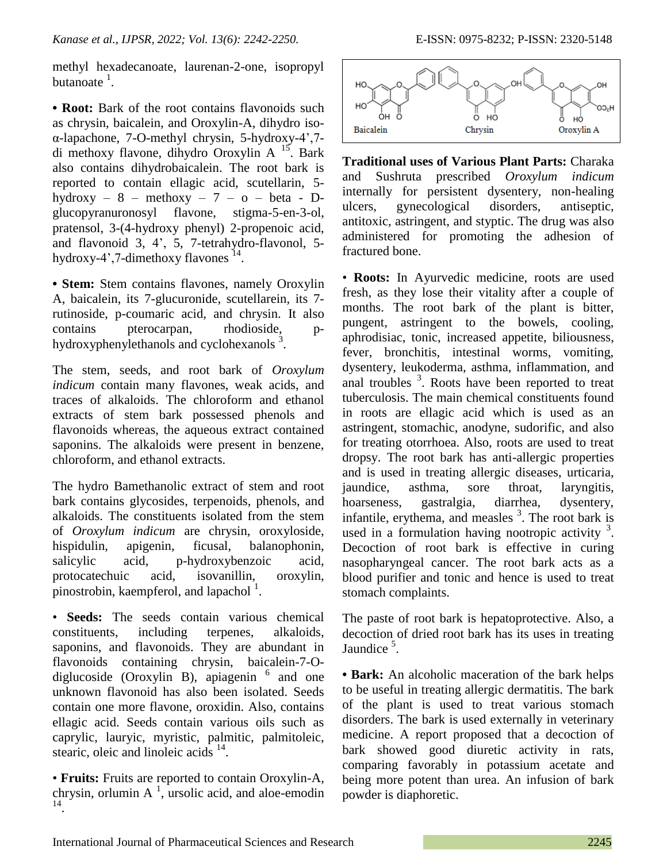methyl hexadecanoate, laurenan-2-one, isopropyl butanoate  $^1$ .

**• Root:** Bark of the root contains flavonoids such as chrysin, baicalein, and Oroxylin-A, dihydro isoα-lapachone, 7-O-methyl chrysin, 5-hydroxy-4',7 di methoxy flavone, dihydro Oroxylin A <sup>15</sup>. Bark also contains dihydrobaicalein. The root bark is reported to contain ellagic acid, scutellarin, 5 hydroxy –  $8$  – methoxy –  $7$  –  $0$  – beta – Dglucopyranuronosyl flavone, stigma-5-en-3-ol, pratensol, 3-(4-hydroxy phenyl) 2-propenoic acid, and flavonoid 3, 4', 5, 7-tetrahydro-flavonol, 5 hydroxy-4',7-dimethoxy flavones<sup>14</sup>.

**• Stem:** Stem contains flavones, namely Oroxylin A, baicalein, its 7-glucuronide, scutellarein, its 7 rutinoside, p-coumaric acid, and chrysin. It also contains pterocarpan, rhodioside, phydroxyphenylethanols and cyclohexanols <sup>3</sup>.

The stem, seeds, and root bark of *Oroxylum indicum* contain many flavones, weak acids, and traces of alkaloids. The chloroform and ethanol extracts of stem bark possessed phenols and flavonoids whereas, the aqueous extract contained saponins. The alkaloids were present in benzene, chloroform, and ethanol extracts.

The hydro Bamethanolic extract of stem and root bark contains glycosides, terpenoids, phenols, and alkaloids. The constituents isolated from the stem of *Oroxylum indicum* are chrysin, oroxyloside, hispidulin, apigenin, ficusal, balanophonin, salicylic acid, p-hydroxybenzoic acid, protocatechuic acid, isovanillin, oroxylin, pinostrobin, kaempferol, and lapachol<sup>1</sup>.

• **Seeds:** The seeds contain various chemical constituents, including terpenes, alkaloids, saponins, and flavonoids. They are abundant in flavonoids containing chrysin, baicalein-7-Odiglucoside (Oroxylin B), apiagenin  $6$  and one unknown flavonoid has also been isolated. Seeds contain one more flavone, oroxidin. Also, contains ellagic acid. Seeds contain various oils such as caprylic, lauryic, myristic, palmitic, palmitoleic, stearic, oleic and linoleic acids <sup>14</sup>.

• **Fruits:** Fruits are reported to contain Oroxylin-A, chrysin, orlumin  $A^{-1}$ , ursolic acid, and aloe-emodin 14 .



**Traditional uses of Various Plant Parts:** Charaka and Sushruta prescribed *Oroxylum indicum* internally for persistent dysentery, non-healing ulcers, gynecological disorders, antiseptic, antitoxic, astringent, and styptic. The drug was also administered for promoting the adhesion of fractured bone.

• **Roots:** In Ayurvedic medicine, roots are used fresh, as they lose their vitality after a couple of months. The root bark of the plant is bitter, pungent, astringent to the bowels, cooling, aphrodisiac, tonic, increased appetite, biliousness, fever, bronchitis, intestinal worms, vomiting, dysentery, leukoderma, asthma, inflammation, and anal troubles  $3$ . Roots have been reported to treat tuberculosis. The main chemical constituents found in roots are ellagic acid which is used as an astringent, stomachic, anodyne, sudorific, and also for treating otorrhoea. Also, roots are used to treat dropsy. The root bark has anti-allergic properties and is used in treating allergic diseases, urticaria, jaundice, asthma, sore throat, laryngitis, hoarseness, gastralgia, diarrhea, dysentery, infantile, erythema, and measles  $3$ . The root bark is used in a formulation having nootropic activity  $3$ . Decoction of root bark is effective in curing nasopharyngeal cancer. The root bark acts as a blood purifier and tonic and hence is used to treat stomach complaints.

The paste of root bark is hepatoprotective. Also, a decoction of dried root bark has its uses in treating Jaundice<sup>5</sup>.

**• Bark:** An alcoholic maceration of the bark helps to be useful in treating allergic dermatitis. The bark of the plant is used to treat various stomach disorders. The bark is used externally in veterinary medicine. A report proposed that a decoction of bark showed good diuretic activity in rats, comparing favorably in potassium acetate and being more potent than urea. An infusion of bark powder is diaphoretic.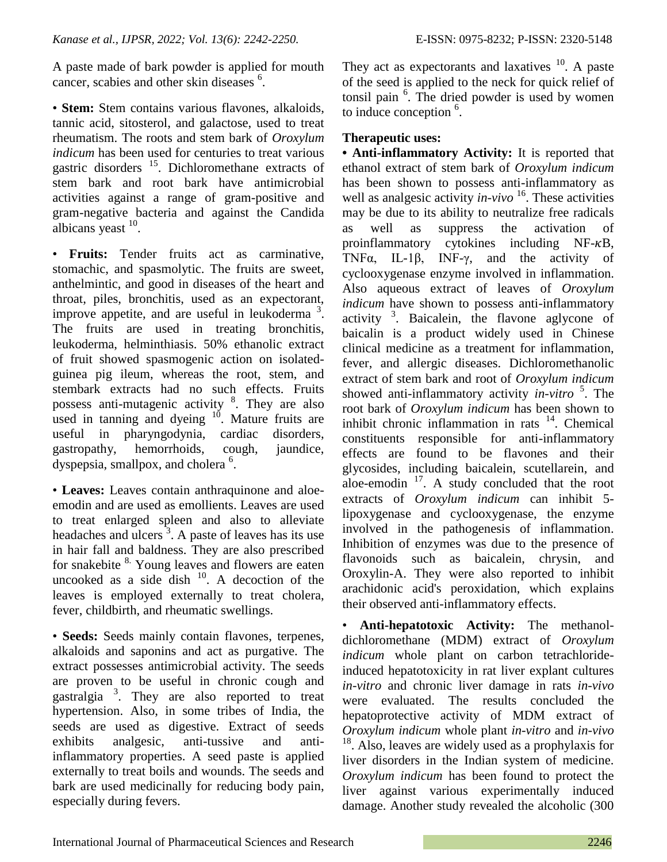A paste made of bark powder is applied for mouth cancer, scabies and other skin diseases <sup>6</sup>.

• **Stem:** Stem contains various flavones, alkaloids, tannic acid, sitosterol, and galactose, used to treat rheumatism. The roots and stem bark of *Oroxylum indicum* has been used for centuries to treat various gastric disorders <sup>15</sup>. Dichloromethane extracts of stem bark and root bark have antimicrobial activities against a range of gram-positive and gram-negative bacteria and against the Candida albicans yeast <sup>10</sup>.

• **Fruits:** Tender fruits act as carminative, stomachic, and spasmolytic. The fruits are sweet, anthelmintic, and good in diseases of the heart and throat, piles, bronchitis, used as an expectorant, improve appetite, and are useful in leukoderma  $3$ . The fruits are used in treating bronchitis, leukoderma, helminthiasis. 50% ethanolic extract of fruit showed spasmogenic action on isolatedguinea pig ileum, whereas the root, stem, and stembark extracts had no such effects. Fruits possess anti-mutagenic activity <sup>8</sup>. They are also used in tanning and dyeing  $10$ . Mature fruits are useful in pharyngodynia, cardiac disorders, gastropathy, hemorrhoids, cough, jaundice, dyspepsia, smallpox, and cholera <sup>6</sup>.

• **Leaves:** Leaves contain anthraquinone and aloeemodin and are used as emollients. Leaves are used to treat enlarged spleen and also to alleviate headaches and ulcers<sup>3</sup>. A paste of leaves has its use in hair fall and baldness. They are also prescribed for snakebite  $8\overline{ }$ . Young leaves and flowers are eaten uncooked as a side dish  $10$ . A decoction of the leaves is employed externally to treat cholera, fever, childbirth, and rheumatic swellings.

• **Seeds:** Seeds mainly contain flavones, terpenes, alkaloids and saponins and act as purgative. The extract possesses antimicrobial activity. The seeds are proven to be useful in chronic cough and gastralgia<sup>3</sup>. They are also reported to treat hypertension. Also, in some tribes of India, the seeds are used as digestive. Extract of seeds exhibits analgesic, anti-tussive and antiinflammatory properties. A seed paste is applied externally to treat boils and wounds. The seeds and bark are used medicinally for reducing body pain, especially during fevers.

They act as expectorants and laxatives  $10$ . A paste of the seed is applied to the neck for quick relief of tonsil pain <sup>6</sup>. The dried powder is used by women to induce conception  $6$ .

### **Therapeutic uses:**

**• Anti-inflammatory Activity:** It is reported that ethanol extract of stem bark of *Oroxylum indicum* has been shown to possess anti-inflammatory as well as analgesic activity *in-vivo* <sup>16</sup>. These activities may be due to its ability to neutralize free radicals as well as suppress the activation of proinflammatory cytokines including  $NF-\kappa B$ , TNFα, IL-1β, INF-γ, and the activity of cyclooxygenase enzyme involved in inflammation. Also aqueous extract of leaves of *Oroxylum indicum* have shown to possess anti-inflammatory activity  $3$ . Baicalein, the flavone aglycone of baicalin is a product widely used in Chinese clinical medicine as a treatment for inflammation, fever, and allergic diseases. Dichloromethanolic extract of stem bark and root of *Oroxylum indicum* showed anti-inflammatory activity *in-vitro*<sup>5</sup>. The root bark of *Oroxylum indicum* has been shown to inhibit chronic inflammation in rats  $14$ . Chemical constituents responsible for anti-inflammatory effects are found to be flavones and their glycosides, including baicalein, scutellarein, and aloe-emodin  $17$ . A study concluded that the root extracts of *Oroxylum indicum* can inhibit 5 lipoxygenase and cyclooxygenase, the enzyme involved in the pathogenesis of inflammation. Inhibition of enzymes was due to the presence of flavonoids such as baicalein, chrysin, and Oroxylin-A. They were also reported to inhibit arachidonic acid's peroxidation, which explains their observed anti-inflammatory effects.

• **Anti-hepatotoxic Activity:** The methanoldichloromethane (MDM) extract of *Oroxylum indicum* whole plant on carbon tetrachlorideinduced hepatotoxicity in rat liver explant cultures *in-vitro* and chronic liver damage in rats *in-vivo* were evaluated. The results concluded the hepatoprotective activity of MDM extract of *Oroxylum indicum* whole plant *in-vitro* and *in-vivo* <sup>18</sup>. Also, leaves are widely used as a prophylaxis for liver disorders in the Indian system of medicine. *Oroxylum indicum* has been found to protect the liver against various experimentally induced damage. Another study revealed the alcoholic (300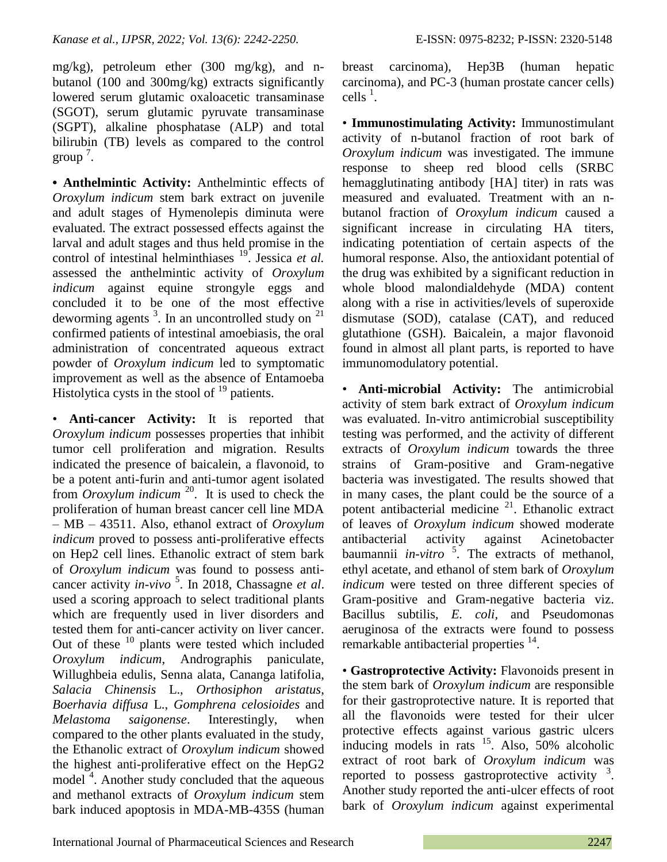mg/kg), petroleum ether (300 mg/kg), and nbutanol (100 and 300mg/kg) extracts significantly lowered serum glutamic oxaloacetic transaminase (SGOT), serum glutamic pyruvate transaminase (SGPT), alkaline phosphatase (ALP) and total bilirubin (TB) levels as compared to the control  $\text{group}^7$ .

**• Anthelmintic Activity:** Anthelmintic effects of *Oroxylum indicum* stem bark extract on juvenile and adult stages of Hymenolepis diminuta were evaluated. The extract possessed effects against the larval and adult stages and thus held promise in the control of intestinal helminthiases <sup>19</sup>. Jessica *et al.* assessed the anthelmintic activity of *Oroxylum indicum* against equine strongyle eggs and concluded it to be one of the most effective deworming agents  $3$ . In an uncontrolled study on  $21$ confirmed patients of intestinal amoebiasis, the oral administration of concentrated aqueous extract powder of *Oroxylum indicum* led to symptomatic improvement as well as the absence of Entamoeba Histolytica cysts in the stool of  $19$  patients.

• **Anti-cancer Activity:** It is reported that *Oroxylum indicum* possesses properties that inhibit tumor cell proliferation and migration. Results indicated the presence of baicalein, a flavonoid, to be a potent anti-furin and anti-tumor agent isolated from *Oroxylum indicum* <sup>20</sup>. It is used to check the proliferation of human breast cancer cell line MDA – MB – 43511. Also, ethanol extract of *Oroxylum indicum* proved to possess anti-proliferative effects on Hep2 cell lines. Ethanolic extract of stem bark of *Oroxylum indicum* was found to possess anticancer activity *in-vivo*<sup>5</sup>. In 2018, Chassagne *et al*. used a scoring approach to select traditional plants which are frequently used in liver disorders and tested them for anti-cancer activity on liver cancer. Out of these  $10$  plants were tested which included *Oroxylum indicum*, Andrographis paniculate, Willughbeia edulis, Senna alata, Cananga latifolia, *Salacia Chinensis* L., *Orthosiphon aristatus*, *Boerhavia diffusa* L., *Gomphrena celosioides* and *Melastoma saigonense*. Interestingly, when compared to the other plants evaluated in the study, the Ethanolic extract of *Oroxylum indicum* showed the highest anti-proliferative effect on the HepG2 model<sup>4</sup>. Another study concluded that the aqueous and methanol extracts of *Oroxylum indicum* stem bark induced apoptosis in MDA-MB-435S (human

breast carcinoma), Hep3B (human hepatic carcinoma), and PC-3 (human prostate cancer cells)  $\text{cells}$ <sup>1</sup>.

• **Immunostimulating Activity:** Immunostimulant activity of n-butanol fraction of root bark of *Oroxylum indicum* was investigated. The immune response to sheep red blood cells (SRBC hemagglutinating antibody [HA] titer) in rats was measured and evaluated. Treatment with an nbutanol fraction of *Oroxylum indicum* caused a significant increase in circulating HA titers, indicating potentiation of certain aspects of the humoral response. Also, the antioxidant potential of the drug was exhibited by a significant reduction in whole blood malondialdehyde (MDA) content along with a rise in activities/levels of superoxide dismutase (SOD), catalase (CAT), and reduced glutathione (GSH). Baicalein, a major flavonoid found in almost all plant parts, is reported to have immunomodulatory potential.

• **Anti-microbial Activity:** The antimicrobial activity of stem bark extract of *Oroxylum indicum* was evaluated. In-vitro antimicrobial susceptibility testing was performed, and the activity of different extracts of *Oroxylum indicum* towards the three strains of Gram-positive and Gram-negative bacteria was investigated. The results showed that in many cases, the plant could be the source of a potent antibacterial medicine  $21$ . Ethanolic extract of leaves of *Oroxylum indicum* showed moderate antibacterial activity against Acinetobacter baumannii *in-vitro* <sup>5</sup> . The extracts of methanol, ethyl acetate, and ethanol of stem bark of *Oroxylum indicum* were tested on three different species of Gram-positive and Gram-negative bacteria viz. Bacillus subtilis, *E. coli,* and Pseudomonas aeruginosa of the extracts were found to possess remarkable antibacterial properties <sup>14</sup>.

• **Gastroprotective Activity:** Flavonoids present in the stem bark of *Oroxylum indicum* are responsible for their gastroprotective nature. It is reported that all the flavonoids were tested for their ulcer protective effects against various gastric ulcers inducing models in rats  $^{15}$ . Also,  $50\%$  alcoholic extract of root bark of *Oroxylum indicum* was reported to possess gastroprotective activity  $3$ . Another study reported the anti-ulcer effects of root bark of *Oroxylum indicum* against experimental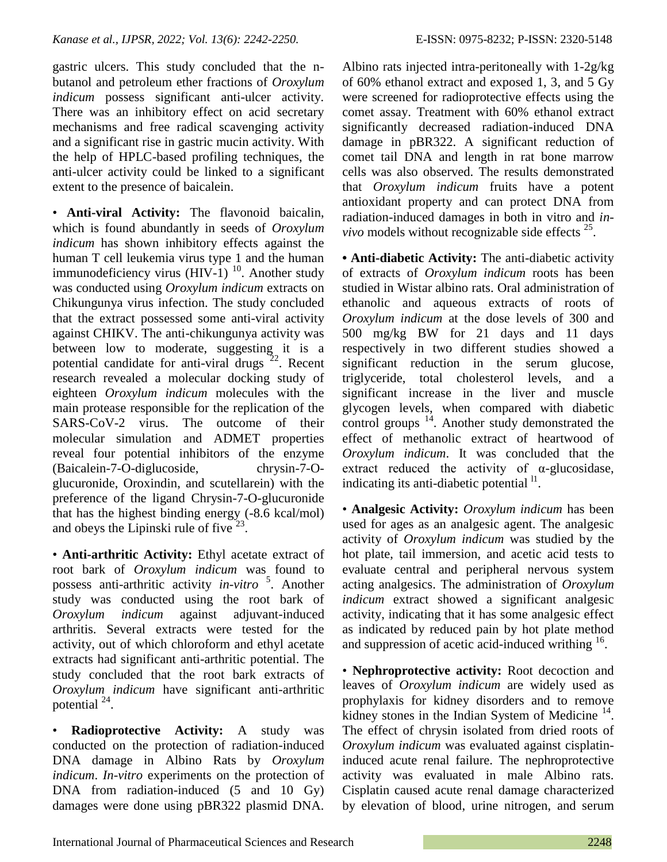gastric ulcers. This study concluded that the nbutanol and petroleum ether fractions of *Oroxylum indicum* possess significant anti-ulcer activity. There was an inhibitory effect on acid secretary mechanisms and free radical scavenging activity and a significant rise in gastric mucin activity. With the help of HPLC-based profiling techniques, the anti-ulcer activity could be linked to a significant extent to the presence of baicalein.

• **Anti-viral Activity:** The flavonoid baicalin, which is found abundantly in seeds of *Oroxylum indicum* has shown inhibitory effects against the human T cell leukemia virus type 1 and the human immunodeficiency virus (HIV-1)<sup>10</sup>. Another study was conducted using *Oroxylum indicum* extracts on Chikungunya virus infection. The study concluded that the extract possessed some anti-viral activity against CHIKV. The anti-chikungunya activity was between low to moderate, suggesting it is a potential candidate for anti-viral drugs  $^{22}$ . Recent research revealed a molecular docking study of eighteen *Oroxylum indicum* molecules with the main protease responsible for the replication of the SARS-CoV-2 virus. The outcome of their molecular simulation and ADMET properties reveal four potential inhibitors of the enzyme (Baicalein-7-O-diglucoside, chrysin-7-Oglucuronide, Oroxindin, and scutellarein) with the preference of the ligand Chrysin-7-O-glucuronide that has the highest binding energy (-8.6 kcal/mol) and obeys the Lipinski rule of five<sup>23</sup>.

• **Anti-arthritic Activity:** Ethyl acetate extract of root bark of *Oroxylum indicum* was found to possess anti-arthritic activity *in-vitro*<sup>5</sup>. Another study was conducted using the root bark of *Oroxylum indicum* against adjuvant-induced arthritis. Several extracts were tested for the activity, out of which chloroform and ethyl acetate extracts had significant anti-arthritic potential. The study concluded that the root bark extracts of *Oroxylum indicum* have significant anti-arthritic potential  $^{24}$ .

• **Radioprotective Activity:** A study was conducted on the protection of radiation-induced DNA damage in Albino Rats by *Oroxylum indicum*. *In-vitro* experiments on the protection of DNA from radiation-induced (5 and 10 Gy) damages were done using pBR322 plasmid DNA. Albino rats injected intra-peritoneally with 1-2g/kg of 60% ethanol extract and exposed 1, 3, and 5 Gy were screened for radioprotective effects using the comet assay. Treatment with 60% ethanol extract significantly decreased radiation-induced DNA damage in pBR322. A significant reduction of comet tail DNA and length in rat bone marrow cells was also observed. The results demonstrated that *Oroxylum indicum* fruits have a potent antioxidant property and can protect DNA from radiation-induced damages in both in vitro and *invivo* models without recognizable side effects  $25$ .

**• Anti-diabetic Activity:** The anti-diabetic activity of extracts of *Oroxylum indicum* roots has been studied in Wistar albino rats. Oral administration of ethanolic and aqueous extracts of roots of *Oroxylum indicum* at the dose levels of 300 and 500 mg/kg BW for 21 days and 11 days respectively in two different studies showed a significant reduction in the serum glucose, triglyceride, total cholesterol levels, and a significant increase in the liver and muscle glycogen levels, when compared with diabetic control groups  $14$ . Another study demonstrated the effect of methanolic extract of heartwood of *Oroxylum indicum*. It was concluded that the extract reduced the activity of  $\alpha$ -glucosidase, indicating its anti-diabetic potential  $\mathbf{^{11}}$ .

• **Analgesic Activity:** *Oroxylum indicum* has been used for ages as an analgesic agent. The analgesic activity of *Oroxylum indicum* was studied by the hot plate, tail immersion, and acetic acid tests to evaluate central and peripheral nervous system acting analgesics. The administration of *Oroxylum indicum* extract showed a significant analgesic activity, indicating that it has some analgesic effect as indicated by reduced pain by hot plate method and suppression of acetic acid-induced writhing <sup>16</sup>.

• **Nephroprotective activity:** Root decoction and leaves of *Oroxylum indicum* are widely used as prophylaxis for kidney disorders and to remove kidney stones in the Indian System of Medicine  $14$ . The effect of chrysin isolated from dried roots of *Oroxylum indicum* was evaluated against cisplatininduced acute renal failure. The nephroprotective activity was evaluated in male Albino rats. Cisplatin caused acute renal damage characterized by elevation of blood, urine nitrogen, and serum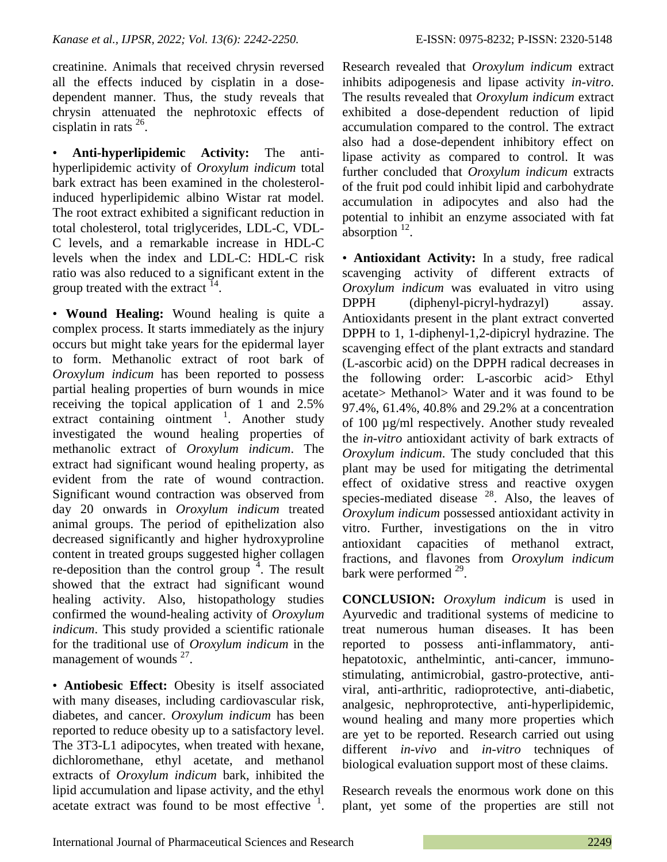creatinine. Animals that received chrysin reversed all the effects induced by cisplatin in a dosedependent manner. Thus, the study reveals that chrysin attenuated the nephrotoxic effects of cisplatin in rats  $26$ .

• **Anti-hyperlipidemic Activity:** The antihyperlipidemic activity of *Oroxylum indicum* total bark extract has been examined in the cholesterolinduced hyperlipidemic albino Wistar rat model. The root extract exhibited a significant reduction in total cholesterol, total triglycerides, LDL-C, VDL-C levels, and a remarkable increase in HDL-C levels when the index and LDL-C: HDL-C risk ratio was also reduced to a significant extent in the group treated with the extract  $14$ .

• **Wound Healing:** Wound healing is quite a complex process. It starts immediately as the injury occurs but might take years for the epidermal layer to form. Methanolic extract of root bark of *Oroxylum indicum* has been reported to possess partial healing properties of burn wounds in mice receiving the topical application of 1 and 2.5% extract containing ointment <sup>1</sup>. Another study investigated the wound healing properties of methanolic extract of *Oroxylum indicum*. The extract had significant wound healing property, as evident from the rate of wound contraction. Significant wound contraction was observed from day 20 onwards in *Oroxylum indicum* treated animal groups. The period of epithelization also decreased significantly and higher hydroxyproline content in treated groups suggested higher collagen re-deposition than the control group  $4$ . The result showed that the extract had significant wound healing activity. Also, histopathology studies confirmed the wound-healing activity of *Oroxylum indicum*. This study provided a scientific rationale for the traditional use of *Oroxylum indicum* in the management of wounds  $27$ .

• **Antiobesic Effect:** Obesity is itself associated with many diseases, including cardiovascular risk, diabetes, and cancer. *Oroxylum indicum* has been reported to reduce obesity up to a satisfactory level. The 3T3-L1 adipocytes, when treated with hexane, dichloromethane, ethyl acetate, and methanol extracts of *Oroxylum indicum* bark, inhibited the lipid accumulation and lipase activity, and the ethyl acetate extract was found to be most effective <sup>1</sup>. Research revealed that *Oroxylum indicum* extract inhibits adipogenesis and lipase activity *in-vitro*. The results revealed that *Oroxylum indicum* extract exhibited a dose-dependent reduction of lipid accumulation compared to the control. The extract also had a dose-dependent inhibitory effect on lipase activity as compared to control. It was further concluded that *Oroxylum indicum* extracts of the fruit pod could inhibit lipid and carbohydrate accumulation in adipocytes and also had the potential to inhibit an enzyme associated with fat  $a$ bsorption<sup>12</sup>.

• **Antioxidant Activity:** In a study, free radical scavenging activity of different extracts of *Oroxylum indicum* was evaluated in vitro using DPPH (diphenyl-picryl-hydrazyl) assay. Antioxidants present in the plant extract converted DPPH to 1, 1-diphenyl-1,2-dipicryl hydrazine. The scavenging effect of the plant extracts and standard (L-ascorbic acid) on the DPPH radical decreases in the following order: L-ascorbic acid> Ethyl acetate> Methanol> Water and it was found to be 97.4%, 61.4%, 40.8% and 29.2% at a concentration of 100 µg/ml respectively. Another study revealed the *in-vitro* antioxidant activity of bark extracts of *Oroxylum indicum*. The study concluded that this plant may be used for mitigating the detrimental effect of oxidative stress and reactive oxygen species-mediated disease  $^{28}$ . Also, the leaves of *Oroxylum indicum* possessed antioxidant activity in vitro. Further, investigations on the in vitro antioxidant capacities of methanol extract, fractions, and flavones from *Oroxylum indicum* bark were performed  $29$ .

**CONCLUSION:** *Oroxylum indicum* is used in Ayurvedic and traditional systems of medicine to treat numerous human diseases. It has been reported to possess anti-inflammatory, antihepatotoxic, anthelmintic, anti-cancer, immunostimulating, antimicrobial, gastro-protective, antiviral, anti-arthritic, radioprotective, anti-diabetic, analgesic, nephroprotective, anti-hyperlipidemic, wound healing and many more properties which are yet to be reported. Research carried out using different *in-vivo* and *in-vitro* techniques of biological evaluation support most of these claims.

Research reveals the enormous work done on this plant, yet some of the properties are still not